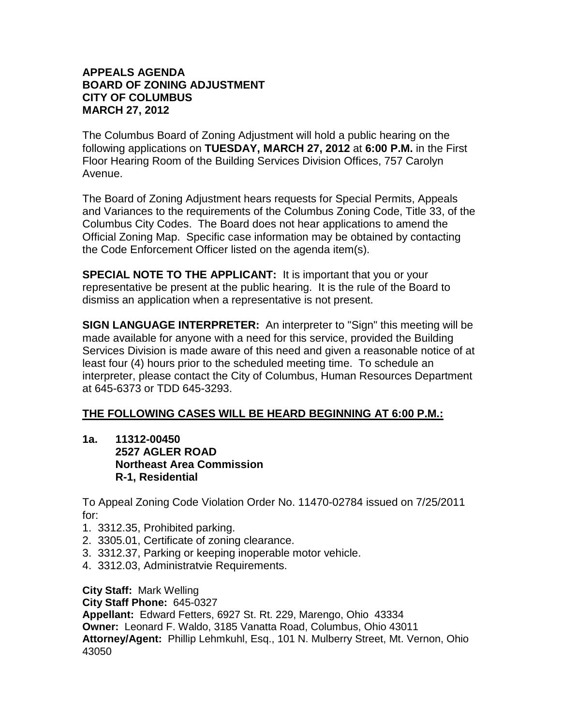### **APPEALS AGENDA BOARD OF ZONING ADJUSTMENT CITY OF COLUMBUS MARCH 27, 2012**

The Columbus Board of Zoning Adjustment will hold a public hearing on the following applications on **TUESDAY, MARCH 27, 2012** at **6:00 P.M.** in the First Floor Hearing Room of the Building Services Division Offices, 757 Carolyn Avenue.

The Board of Zoning Adjustment hears requests for Special Permits, Appeals and Variances to the requirements of the Columbus Zoning Code, Title 33, of the Columbus City Codes. The Board does not hear applications to amend the Official Zoning Map. Specific case information may be obtained by contacting the Code Enforcement Officer listed on the agenda item(s).

**SPECIAL NOTE TO THE APPLICANT:** It is important that you or your representative be present at the public hearing. It is the rule of the Board to dismiss an application when a representative is not present.

**SIGN LANGUAGE INTERPRETER:** An interpreter to "Sign" this meeting will be made available for anyone with a need for this service, provided the Building Services Division is made aware of this need and given a reasonable notice of at least four (4) hours prior to the scheduled meeting time. To schedule an interpreter, please contact the City of Columbus, Human Resources Department at 645-6373 or TDD 645-3293.

# **THE FOLLOWING CASES WILL BE HEARD BEGINNING AT 6:00 P.M.:**

**1a. 11312-00450 2527 AGLER ROAD Northeast Area Commission R-1, Residential**

To Appeal Zoning Code Violation Order No. 11470-02784 issued on 7/25/2011 for:

- 1. 3312.35, Prohibited parking.
- 2. 3305.01, Certificate of zoning clearance.
- 3. 3312.37, Parking or keeping inoperable motor vehicle.
- 4. 3312.03, Administratvie Requirements.

**City Staff:** Mark Welling

**City Staff Phone:** 645-0327

**Appellant:** Edward Fetters, 6927 St. Rt. 229, Marengo, Ohio 43334 **Owner:** Leonard F. Waldo, 3185 Vanatta Road, Columbus, Ohio 43011 **Attorney/Agent:** Phillip Lehmkuhl, Esq., 101 N. Mulberry Street, Mt. Vernon, Ohio 43050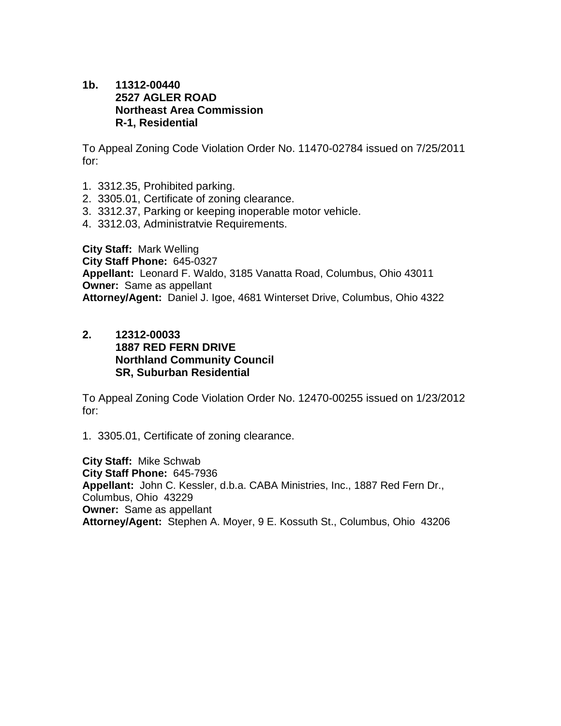#### **1b. 11312-00440 2527 AGLER ROAD Northeast Area Commission R-1, Residential**

To Appeal Zoning Code Violation Order No. 11470-02784 issued on 7/25/2011 for:

- 1. 3312.35, Prohibited parking.
- 2. 3305.01, Certificate of zoning clearance.
- 3. 3312.37, Parking or keeping inoperable motor vehicle.
- 4. 3312.03, Administratvie Requirements.

**City Staff:** Mark Welling **City Staff Phone:** 645-0327 **Appellant:** Leonard F. Waldo, 3185 Vanatta Road, Columbus, Ohio 43011 **Owner:** Same as appellant **Attorney/Agent:** Daniel J. Igoe, 4681 Winterset Drive, Columbus, Ohio 4322

**2. 12312-00033 1887 RED FERN DRIVE Northland Community Council SR, Suburban Residential**

To Appeal Zoning Code Violation Order No. 12470-00255 issued on 1/23/2012 for:

1. 3305.01, Certificate of zoning clearance.

**City Staff:** Mike Schwab **City Staff Phone:** 645-7936 **Appellant:** John C. Kessler, d.b.a. CABA Ministries, Inc., 1887 Red Fern Dr., Columbus, Ohio 43229 **Owner:** Same as appellant **Attorney/Agent:** Stephen A. Moyer, 9 E. Kossuth St., Columbus, Ohio 43206